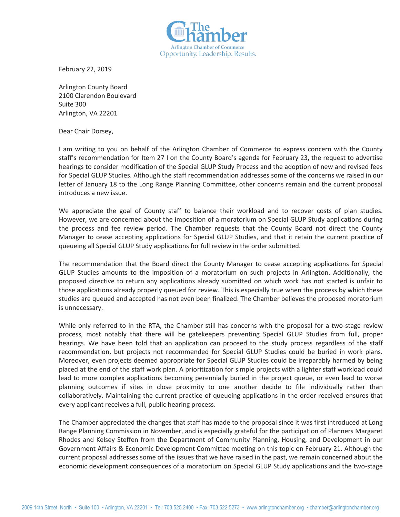

February 22, 2019

Arlington County Board 2100 Clarendon Boulevard Suite 300 Arlington, VA 22201

Dear Chair Dorsey,

I am writing to you on behalf of the Arlington Chamber of Commerce to express concern with the County staff's recommendation for Item 27 I on the County Board's agenda for February 23, the request to advertise hearings to consider modification of the Special GLUP Study Process and the adoption of new and revised fees for Special GLUP Studies. Although the staff recommendation addresses some of the concerns we raised in our letter of January 18 to the Long Range Planning Committee, other concerns remain and the current proposal introduces a new issue.

We appreciate the goal of County staff to balance their workload and to recover costs of plan studies. However, we are concerned about the imposition of a moratorium on Special GLUP Study applications during the process and fee review period. The Chamber requests that the County Board not direct the County Manager to cease accepting applications for Special GLUP Studies, and that it retain the current practice of queueing all Special GLUP Study applications for full review in the order submitted.

The recommendation that the Board direct the County Manager to cease accepting applications for Special GLUP Studies amounts to the imposition of a moratorium on such projects in Arlington. Additionally, the proposed directive to return any applications already submitted on which work has not started is unfair to those applications already properly queued for review. This is especially true when the process by which these studies are queued and accepted has not even been finalized. The Chamber believes the proposed moratorium is unnecessary.

While only referred to in the RTA, the Chamber still has concerns with the proposal for a two-stage review process, most notably that there will be gatekeepers preventing Special GLUP Studies from full, proper hearings. We have been told that an application can proceed to the study process regardless of the staff recommendation, but projects not recommended for Special GLUP Studies could be buried in work plans. Moreover, even projects deemed appropriate for Special GLUP Studies could be irreparably harmed by being placed at the end of the staff work plan. A prioritization for simple projects with a lighter staff workload could lead to more complex applications becoming perennially buried in the project queue, or even lead to worse planning outcomes if sites in close proximity to one another decide to file individually rather than collaboratively. Maintaining the current practice of queueing applications in the order received ensures that every applicant receives a full, public hearing process.

The Chamber appreciated the changes that staff has made to the proposal since it was first introduced at Long Range Planning Commission in November, and is especially grateful for the participation of Planners Margaret Rhodes and Kelsey Steffen from the Department of Community Planning, Housing, and Development in our Government Affairs & Economic Development Committee meeting on this topic on February 21. Although the current proposal addresses some of the issues that we have raised in the past, we remain concerned about the economic development consequences of a moratorium on Special GLUP Study applications and the two-stage